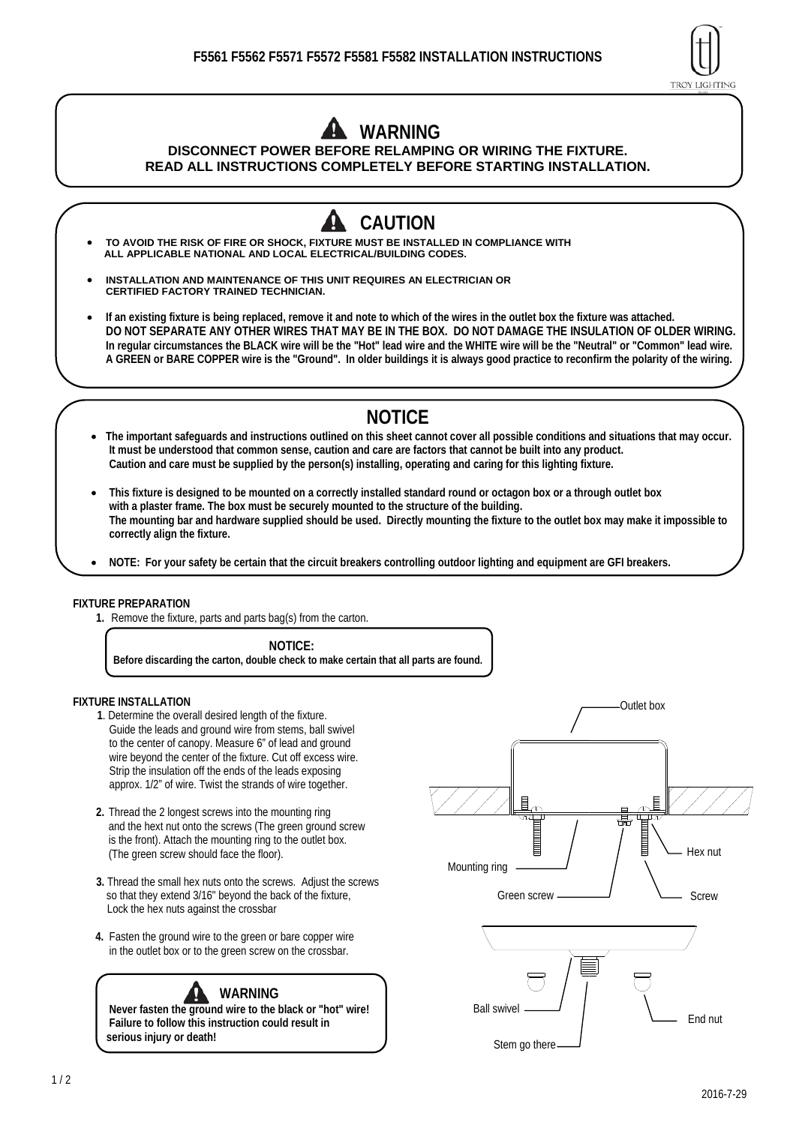

# **WARNING**

### **DISCONNECT POWER BEFORE RELAMPING OR WIRING THE FIXTURE. READ ALL INSTRUCTIONS COMPLETELY BEFORE STARTING INSTALLATION.**

- **CAUTION TO AVOID THE RISK OF FIRE OR SHOCK, FIXTURE MUST BE INSTALLED IN COMPLIANCE WITH ALL APPLICABLE NATIONAL AND LOCAL ELECTRICAL/BUILDING CODES.**
- **INSTALLATION AND MAINTENANCE OF THIS UNIT REQUIRES AN ELECTRICIAN OR CERTIFIED FACTORY TRAINED TECHNICIAN.**
- **If an existing fixture is being replaced, remove it and note to which of the wires in the outlet box the fixture was attached. DO NOT SEPARATE ANY OTHER WIRES THAT MAY BE IN THE BOX. DO NOT DAMAGE THE INSULATION OF OLDER WIRING. In regular circumstances the BLACK wire will be the "Hot" lead wire and the WHITE wire will be the "Neutral" or "Common" lead wire. A GREEN or BARE COPPER wire is the "Ground". In older buildings it is always good practice to reconfirm the polarity of the wiring.** 
	- **NOTICE**
- **The important safeguards and instructions outlined on this sheet cannot cover all possible conditions and situations that may occur. It must be understood that common sense, caution and care are factors that cannot be built into any product. Caution and care must be supplied by the person(s) installing, operating and caring for this lighting fixture.**
- **This fixture is designed to be mounted on a correctly installed standard round or octagon box or a through outlet box with a plaster frame. The box must be securely mounted to the structure of the building. The mounting bar and hardware supplied should be used. Directly mounting the fixture to the outlet box may make it impossible to correctly align the fixture.**
- **NOTE: For your safety be certain that the circuit breakers controlling outdoor lighting and equipment are GFI breakers.**

#### **FIXTURE PREPARATION**

**1.** Remove the fixture, parts and parts bag(s) from the carton.

 **NOTICE: Before discarding the carton, double check to make certain that all parts are found.** 

#### **FIXTURE INSTALLATION**

- **1**. Determine the overall desired length of the fixture. Guide the leads and ground wire from stems, ball swivel to the center of canopy. Measure 6" of lead and ground wire beyond the center of the fixture. Cut off excess wire. Strip the insulation off the ends of the leads exposing approx. 1/2" of wire. Twist the strands of wire together.
- **2.** Thread the 2 longest screws into the mounting ring and the hext nut onto the screws (The green ground screw is the front). Attach the mounting ring to the outlet box. (The green screw should face the floor).
- **3.** Thread the small hex nuts onto the screws. Adjust the screws so that they extend 3/16" beyond the back of the fixture, Lock the hex nuts against the crossbar
- **4.** Fasten the ground wire to the green or bare copper wire in the outlet box or to the green screw on the crossbar.

## **WARNING**

**Never fasten the ground wire to the black or "hot" wire! Failure to follow this instruction could result in serious injury or death!**